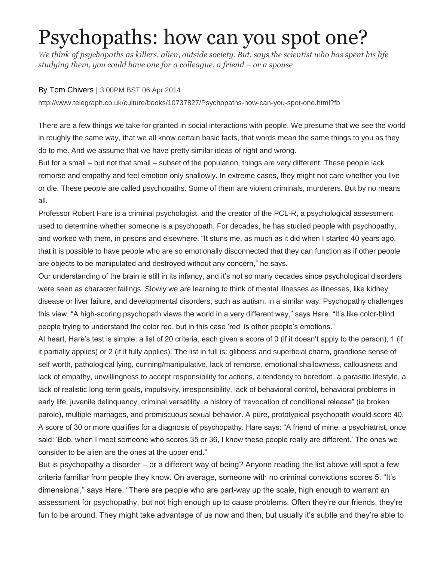## Psychopaths: how can you spot one?

*We think of psychopaths as killers, alien, outside society. But, says the scientist who has spent his life studying them, you could have one for a colleague, a friend – or a spouse*

## By [Tom Chivers](http://www.telegraph.co.uk/journalists/tom-chivers/) | 3:00PM BST 06 Apr 2014

http://www.telegraph.co.uk/culture/books/10737827/Psychopaths-how-can-you-spot-one.html?fb

There are a few things we take for granted in social interactions with people. We presume that we see the world in roughly the same way, that we all know certain basic facts, that words mean the same things to you as they do to me. And we assume that we have pretty similar ideas of right and wrong.

But for a small – but not that small – subset of the population, things are very different. These people lack remorse and empathy and feel emotion only shallowly. In extreme cases, they might not care whether you live or die. These people are called psychopaths. Some of them are violent criminals, murderers. But by no means all.

Professor Robert Hare is a criminal psychologist, and the creator of the PCL-R, a psychological assessment used to determine whether someone is a psychopath. For decades, he has studied people with psychopathy, and worked with them, in prisons and elsewhere. "It stuns me, as much as it did when I started 40 years ago, that it is possible to have people who are so emotionally disconnected that they can function as if other people are objects to be manipulated and destroyed without any concern," he says.

Our understanding of the brain is still in its infancy, and it's not so many decades since psychological disorders were seen as character failings. Slowly we are learning to think of mental illnesses as illnesses, like kidney disease or liver failure, and developmental disorders, such as autism, in a similar way. Psychopathy challenges this view. "A high-scoring psychopath views the world in a very different way," says Hare. "It's like color-blind people trying to understand the color red, but in this case 'red' is other people's emotions."

At heart, Hare's test is simple: a list of 20 criteria, each given a score of 0 (if it doesn't apply to the person), 1 (if it partially applies) or 2 (if it fully applies). The list in full is: glibness and superficial charm, grandiose sense of self-worth, pathological lying, cunning/manipulative, lack of remorse, emotional shallowness, callousness and lack of empathy, unwillingness to accept responsibility for actions, a tendency to boredom, a parasitic lifestyle, a lack of realistic long-term goals, impulsivity, irresponsibility, lack of behavioral control, behavioral problems in early life, juvenile delinquency, criminal versatility, a history of "revocation of conditional release" (ie broken parole), multiple marriages, and promiscuous sexual behavior. A pure, prototypical psychopath would score 40. A score of 30 or more qualifies for a diagnosis of psychopathy. Hare says: "A friend of mine, a psychiatrist, once said: 'Bob, when I meet someone who scores 35 or 36, I know these people really are different.' The ones we consider to be alien are the ones at the upper end."

But is psychopathy a disorder – or a different way of being? Anyone reading the list above will spot a few criteria familiar from people they know. On average, someone with no criminal convictions scores 5. "It's dimensional," says Hare. "There are people who are part-way up the scale, high enough to warrant an assessment for psychopathy, but not high enough up to cause problems. Often they're our friends, they're fun to be around. They might take advantage of us now and then, but usually it's subtle and they're able to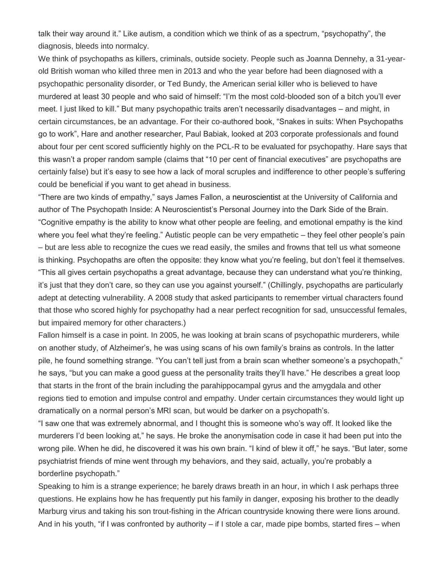talk their way around it." Like autism, a condition which we think of as a spectrum, "psychopathy", the diagnosis, bleeds into normalcy.

We think of psychopaths as killers, criminals, outside society. People such as Joanna Dennehy, a 31-yearold British woman who killed three men in 2013 and who the year before had been diagnosed with a psychopathic personality disorder, or Ted Bundy, the American serial killer who is believed to have murdered at least 30 people and who said of himself: "I'm the most cold-blooded son of a bitch you'll ever meet. I just liked to kill." But many psychopathic traits aren't necessarily disadvantages – and might, in certain circumstances, be an advantage. For their co-authored book, "Snakes in suits: When Psychopaths go to work", Hare and another researcher, Paul Babiak, looked at 203 corporate professionals and found about four per cent scored sufficiently highly on the PCL-R to be evaluated for psychopathy. Hare says that this wasn't a proper random sample (claims that "10 per cent of financial executives" are psychopaths are certainly false) but it's easy to see how a lack of moral scruples and indifference to other people's suffering could be beneficial if you want to get ahead in business.

"There are two kinds of empathy," says James Fallon, a neuroscientist at the University of California and author of The Psychopath Inside: A Neuroscientist's Personal Journey into the Dark Side of the Brain. "Cognitive empathy is the ability to know what other people are feeling, and emotional empathy is the kind where you feel what they're feeling." Autistic people can be very empathetic – they feel other people's pain – but are less able to recognize the cues we read easily, the smiles and frowns that tell us what someone is thinking. Psychopaths are often the opposite: they know what you're feeling, but don't feel it themselves. "This all gives certain psychopaths a great advantage, because they can understand what you're thinking, it's just that they don't care, so they can use you against yourself." (Chillingly, psychopaths are particularly adept at detecting vulnerability. A 2008 study that asked participants to remember virtual characters found that those who scored highly for psychopathy had a near perfect recognition for sad, unsuccessful females, but impaired memory for other characters.)

Fallon himself is a case in point. In 2005, he was looking at brain scans of psychopathic murderers, while on another study, of Alzheimer's, he was using scans of his own family's brains as controls. In the latter pile, he found something strange. "You can't tell just from a brain scan whether someone's a psychopath," he says, "but you can make a good guess at the personality traits they'll have." He describes a great loop that starts in the front of the brain including the parahippocampal gyrus and the amygdala and other regions tied to emotion and impulse control and empathy. Under certain circumstances they would light up dramatically on a normal person's MRI scan, but would be darker on a psychopath's.

"I saw one that was extremely abnormal, and I thought this is someone who's way off. It looked like the murderers I'd been looking at," he says. He broke the anonymisation code in case it had been put into the wrong pile. When he did, he discovered it was his own brain. "I kind of blew it off," he says. "But later, some psychiatrist friends of mine went through my behaviors, and they said, actually, you're probably a borderline psychopath."

Speaking to him is a strange experience; he barely draws breath in an hour, in which I ask perhaps three questions. He explains how he has frequently put his family in danger, exposing his brother to the deadly Marburg virus and taking his son trout-fishing in the African countryside knowing there were lions around. And in his youth, "if I was confronted by authority – if I stole a car, made pipe bombs, started fires – when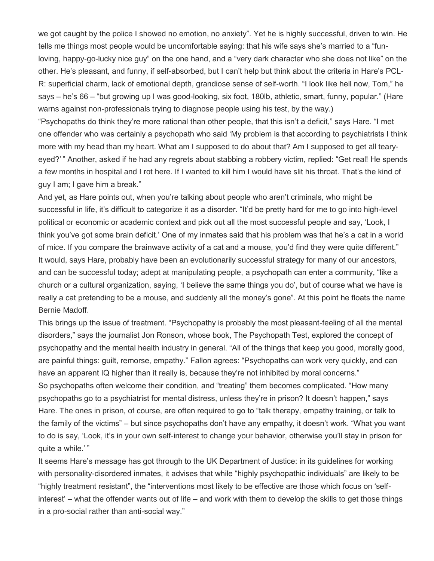we got caught by the police I showed no emotion, no anxiety". Yet he is highly successful, driven to win. He tells me things most people would be uncomfortable saying: that his wife says she's married to a "funloving, happy-go-lucky nice guy" on the one hand, and a "very dark character who she does not like" on the other. He's pleasant, and funny, if self-absorbed, but I can't help but think about the criteria in Hare's PCL-R: superficial charm, lack of emotional depth, grandiose sense of self-worth. "I look like hell now, Tom," he says – he's 66 – "but growing up I was good-looking, six foot, 180lb, athletic, smart, funny, popular." (Hare warns against non-professionals trying to diagnose people using his test, by the way.)

"Psychopaths do think they're more rational than other people, that this isn't a deficit," says Hare. "I met one offender who was certainly a psychopath who said 'My problem is that according to psychiatrists I think more with my head than my heart. What am I supposed to do about that? Am I supposed to get all tearyeyed?' " Another, asked if he had any regrets about stabbing a robbery victim, replied: "Get real! He spends a few months in hospital and I rot here. If I wanted to kill him I would have slit his throat. That's the kind of guy I am; I gave him a break."

And yet, as Hare points out, when you're talking about people who aren't criminals, who might be successful in life, it's difficult to categorize it as a disorder. "It'd be pretty hard for me to go into high-level political or economic or academic context and pick out all the most successful people and say, 'Look, I think you've got some brain deficit.' One of my inmates said that his problem was that he's a cat in a world of mice. If you compare the brainwave activity of a cat and a mouse, you'd find they were quite different." It would, says Hare, probably have been an evolutionarily successful strategy for many of our ancestors, and can be successful today; adept at manipulating people, a psychopath can enter a community, "like a church or a cultural organization, saying, 'I believe the same things you do', but of course what we have is really a cat pretending to be a mouse, and suddenly all the money's gone". At this point he floats the name Bernie Madoff.

This brings up the issue of treatment. "Psychopathy is probably the most pleasant-feeling of all the mental disorders," says the journalist Jon Ronson, whose book, The Psychopath Test, explored the concept of psychopathy and the mental health industry in general. "All of the things that keep you good, morally good, are painful things: guilt, remorse, empathy." Fallon agrees: "Psychopaths can work very quickly, and can have an apparent IQ higher than it really is, because they're not inhibited by moral concerns." So psychopaths often welcome their condition, and "treating" them becomes complicated. "How many psychopaths go to a psychiatrist for mental distress, unless they're in prison? It doesn't happen," says Hare. The ones in prison, of course, are often required to go to "talk therapy, empathy training, or talk to the family of the victims" – but since psychopaths don't have any empathy, it doesn't work. "What you want to do is say, 'Look, it's in your own self-interest to change your behavior, otherwise you'll stay in prison for quite a while.' "

It seems Hare's message has got through to the UK Department of Justice: in its guidelines for working with personality-disordered inmates, it advises that while "highly psychopathic individuals" are likely to be "highly treatment resistant", the "interventions most likely to be effective are those which focus on 'selfinterest' – what the offender wants out of life – and work with them to develop the skills to get those things in a pro-social rather than anti-social way."